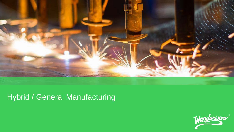

# Hybrid / General Manufacturing

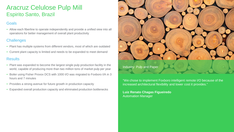## Aracruz Celulose Pulp Mill Espirito Santo, Brazil

## **Goals**

• Allow each fiberline to operate independently and provide a unified view into all operations for better management of overall plant productivity

## **Challenges**

- Plant has multiple systems from different vendors, most of which are outdated
- Current plant capacity is limited and needs to be expanded to meet demand

### **Results**

- Plant was expanded to become the largest single pulp production facility in the world, capable of producing more than two million tons of market pulp per year
- Boiler using Fisher Provox DCS with 1000 I/O was migrated to Foxboro I/A in 3 hours and 7 minutes
- Provides a strong avenue for future growth in production capacity
- Expanded overall production capacity and eliminated production bottlenecks



"We chose to implement Foxboro intelligent remote I/O because of the increased architectural flexibility and lower cost it provides."

**Luiz Renato Chagas Figueiredo**  Automation Manager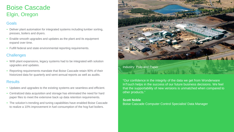## Boise Cascade Elgin, Oregon

### Goals

- Deliver plant automation for integrated systems including lumber sorting, presses, boilers and dryers.
- Enable smooth upgrades and updates as the plant and its equipment expand over time.
- Fulfill federal and state environmental reporting requirements.

## **Challenges**

- With plant expansions, legacy systems had to be integrated with solution upgrades and updates.
- Reporting requirements mandate that Boise Cascade retain 90% of their historized data for quarterly and semi-annual reports as well as audits.

### **Results**

- Updates and upgrades to the existing systems are seamless and efficient.
- Centralized data acquisition and storage has eliminated the need for hard paper files to meet the extensive back up data retention requirements.
- The solution's trending and tuning capabilities have enabled Boise Cascade to realize a 10% improvement in fuel consumption of the hog fuel boilers.



"Our confidence in the integrity of the data we get from Wonderware InTouch helps in the success of our future business decisions. We feel that the supportability of new versions is unmatched when compared to other products."

#### **Scott Noble**

Boise Cascade Computer Control Specialist/ Data Manager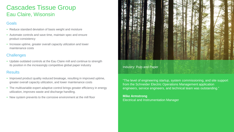## Cascades Tissue Group Eau Claire, Wisonsin

## **Goals**

- Reduce standard deviation of basis weight and moisture
- Automate controls and save time, maintain spec and ensure product consistency
- Increase uptime, greater overall capacity utilization and lower maintenance costs

### **Challenges**

• Update outdated controls at the Eau Claire mill and continue to strength its position in the increasingly competitive global paper industry

### **Results**

- Improved product quality reduced breakage, resulting in improved uptime, greater overall capacity utilization, and lower maintenance costs
- The multivariable expert adaptive control brings greater efficiency in energy utilization, improves waste and discharge handling.
- New system prevents to the corrosive environment at the mill floor



#### Industry: Pulp and Paper

"The level of engineering startup, system commissioning, and site support from the Schneider Electric Operations Management application engineers, service engineers, and technical team was outstanding."

#### **Mike Armstrong**  Electrical and Instrumentation Manager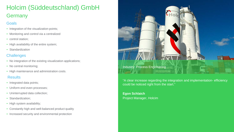# Holcim (Süddeutschland) GmbH **Germany**

### **Goals**

- Integration of the visualization-points;
- Monitoring and control via a centralized
- control station:
- High availability of the entire system;
- Standardization

## **Challenges**

- No integration of the existing visualization applications;
- No central monitoring;
- High maintenance and administration costs.

## Results

- Integrated data points;
- Uniform end even processes;
- Uninterrupted data collection;
- Standardization:
- High system availability;
- Constantly high and well-balanced product quality
- Increased security and environmental protection



"A clear increase regarding the integration and implementation- efficiency could be noticed right from the start."

**Egon Schlaich** Project Manager, Holcim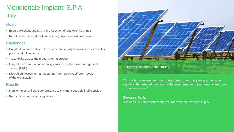# Meridionale Impianti S.P.A. **Italy**

## Goals

- Ensure excellent quality in the production of photovoltaic panels
- Real-time action on deviations and negative trends in production

## **Challenges**

- Constant and accurate control of environmental parameters in photovoltaic panel production areas
- Traceability across the manufacturing process
- Integration of plant automation systems with enterprise management system (ERP)
- Diversified access to manufacturing information at different levels of the organization

## **Results**

- Monitoring of real plant performance to eliminate possible inefficiencies
- Reduction of manufacturing waste



"Through the extensive monitoring of manufacturing stages, we have significantly reduced wastes that have a negative impact on efficiency and production costs."

### **Giovanni Raffa,**

Business Development Manager, Meridionale Impianti S.p.A.